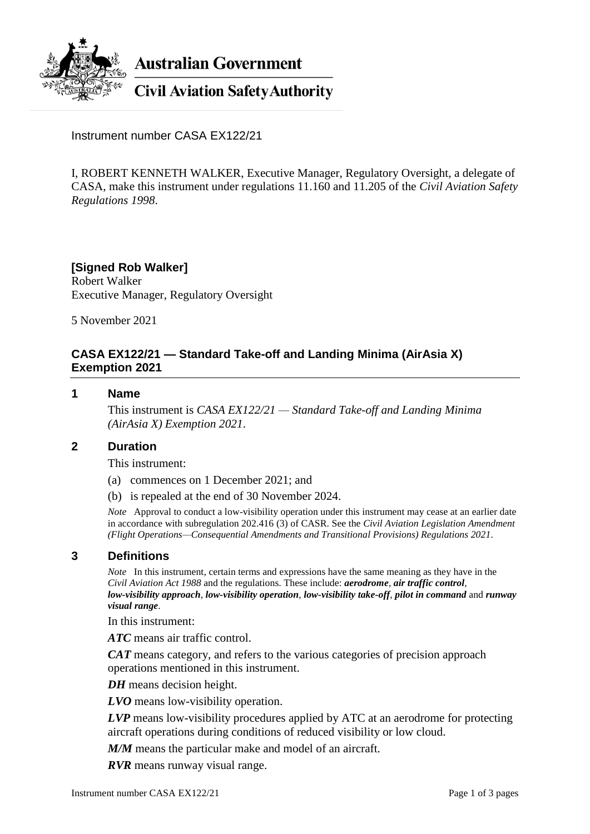

**Australian Government** 

**Civil Aviation Safety Authority** 

Instrument number CASA EX122/21

I, ROBERT KENNETH WALKER, Executive Manager, Regulatory Oversight, a delegate of CASA, make this instrument under regulations 11.160 and 11.205 of the *Civil Aviation Safety Regulations 1998*.

# **[Signed Rob Walker]**

Robert Walker Executive Manager, Regulatory Oversight

5 November 2021

# **CASA EX122/21 — Standard Take-off and Landing Minima (AirAsia X) Exemption 2021**

### **1 Name**

This instrument is *CASA EX122/21 — Standard Take-off and Landing Minima (AirAsia X) Exemption 2021*.

## **2 Duration**

This instrument:

- (a) commences on 1 December 2021; and
- (b) is repealed at the end of 30 November 2024.

*Note* Approval to conduct a low-visibility operation under this instrument may cease at an earlier date in accordance with subregulation 202.416 (3) of CASR. See the *Civil Aviation Legislation Amendment (Flight Operations—Consequential Amendments and Transitional Provisions) Regulations 2021*.

## **3 Definitions**

*Note* In this instrument, certain terms and expressions have the same meaning as they have in the *Civil Aviation Act 1988* and the regulations. These include: *aerodrome*, *air traffic control*, *low-visibility approach*, *low-visibility operation*, *low-visibility take-off*, *pilot in command* and *runway visual range*.

In this instrument:

*ATC* means air traffic control.

*CAT* means category, and refers to the various categories of precision approach operations mentioned in this instrument.

*DH* means decision height.

*LVO* means low-visibility operation.

*LVP* means low-visibility procedures applied by ATC at an aerodrome for protecting aircraft operations during conditions of reduced visibility or low cloud.

*M/M* means the particular make and model of an aircraft.

*RVR* means runway visual range.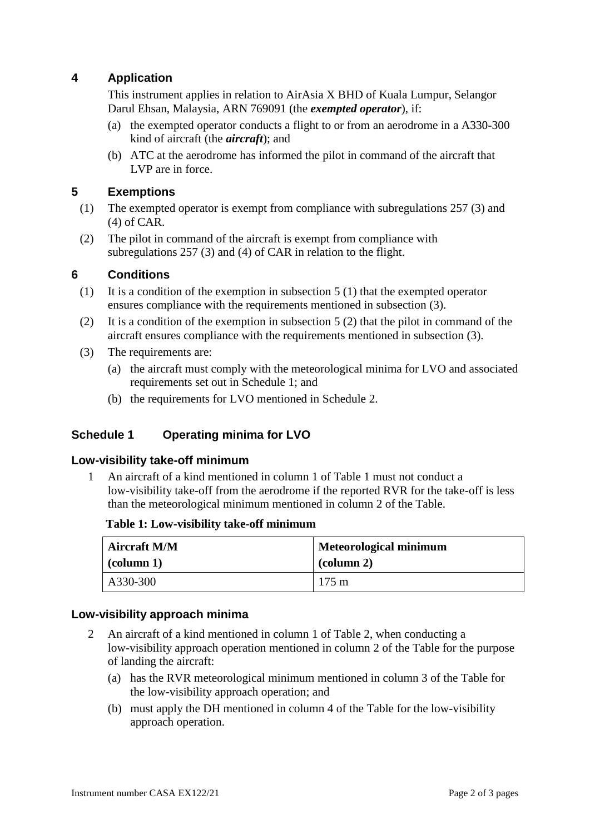## **4 Application**

This instrument applies in relation to AirAsia X BHD of Kuala Lumpur, Selangor Darul Ehsan, Malaysia, ARN 769091 (the *exempted operator*), if:

- (a) the exempted operator conducts a flight to or from an aerodrome in a A330-300 kind of aircraft (the *aircraft*); and
- (b) ATC at the aerodrome has informed the pilot in command of the aircraft that LVP are in force.

## **5 Exemptions**

- (1) The exempted operator is exempt from compliance with subregulations 257 (3) and (4) of CAR.
- (2) The pilot in command of the aircraft is exempt from compliance with subregulations 257 (3) and (4) of CAR in relation to the flight.

### **6 Conditions**

- (1) It is a condition of the exemption in subsection 5 (1) that the exempted operator ensures compliance with the requirements mentioned in subsection (3).
- (2) It is a condition of the exemption in subsection 5 (2) that the pilot in command of the aircraft ensures compliance with the requirements mentioned in subsection (3).
- (3) The requirements are:
	- (a) the aircraft must comply with the meteorological minima for LVO and associated requirements set out in Schedule 1; and
	- (b) the requirements for LVO mentioned in Schedule 2.

#### **Schedule 1 Operating minima for LVO**

#### **Low-visibility take-off minimum**

1 An aircraft of a kind mentioned in column 1 of Table 1 must not conduct a low-visibility take-off from the aerodrome if the reported RVR for the take-off is less than the meteorological minimum mentioned in column 2 of the Table.

#### **Table 1: Low-visibility take-off minimum**

| <b>Aircraft M/M</b> | <b>Meteorological minimum</b> |  |
|---------------------|-------------------------------|--|
| $\vert$ (column 1)  | $\alpha$ (column 2)           |  |
| A330-300            | $175 \text{ m}$               |  |

#### **Low-visibility approach minima**

- 2 An aircraft of a kind mentioned in column 1 of Table 2, when conducting a low-visibility approach operation mentioned in column 2 of the Table for the purpose of landing the aircraft:
	- (a) has the RVR meteorological minimum mentioned in column 3 of the Table for the low-visibility approach operation; and
	- (b) must apply the DH mentioned in column 4 of the Table for the low-visibility approach operation.